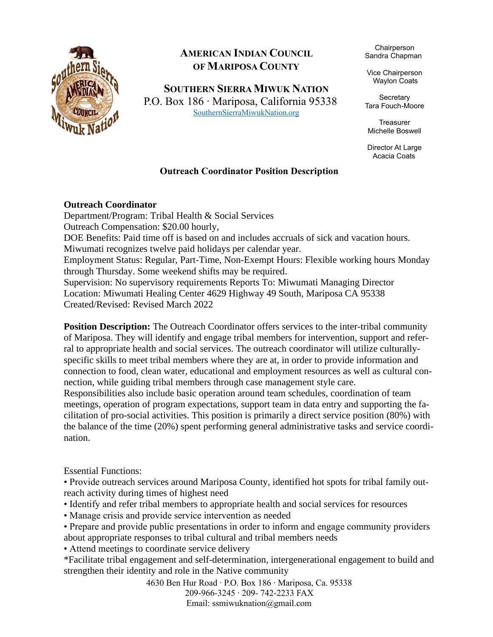

## **AMERICAN INDIAN COUNCIL OF MARIPOSA COUNTY**

**SOUTHERN SIERRA MIWUK NATION**

P.O. Box 186 ∙ Mariposa, California 95338 [SouthernSierraMiwukNation.org](file:///C:/Users/miwum/Downloads/SouthernSierraMiwukNation.org)

Chairperson Sandra Chapman

Vice Chairperson Waylon Coats

**Secretary** Tara Fouch-Moore

**Treasurer** Michelle Boswell

Director At Large Acacia Coats

## **Outreach Coordinator Position Description**

## **Outreach Coordinator**

Department/Program: Tribal Health & Social Services Outreach Compensation: \$20.00 hourly, DOE Benefits: Paid time off is based on and includes accruals of sick and vacation hours. Miwumati recognizes twelve paid holidays per calendar year. Employment Status: Regular, Part-Time, Non-Exempt Hours: Flexible working hours Monday through Thursday. Some weekend shifts may be required. Supervision: No supervisory requirements Reports To: Miwumati Managing Director Location: Miwumati Healing Center 4629 Highway 49 South, Mariposa CA 95338 Created/Revised: Revised March 2022

**Position Description:** The Outreach Coordinator offers services to the inter-tribal community of Mariposa. They will identify and engage tribal members for intervention, support and referral to appropriate health and social services. The outreach coordinator will utilize culturallyspecific skills to meet tribal members where they are at, in order to provide information and connection to food, clean water, educational and employment resources as well as cultural connection, while guiding tribal members through case management style care.

Responsibilities also include basic operation around team schedules, coordination of team meetings, operation of program expectations, support team in data entry and supporting the facilitation of pro-social activities. This position is primarily a direct service position (80%) with the balance of the time (20%) spent performing general administrative tasks and service coordination.

Essential Functions:

• Provide outreach services around Mariposa County, identified hot spots for tribal family outreach activity during times of highest need

• Identify and refer tribal members to appropriate health and social services for resources

• Manage crisis and provide service intervention as needed

• Prepare and provide public presentations in order to inform and engage community providers about appropriate responses to tribal cultural and tribal members needs

• Attend meetings to coordinate service delivery

\*Facilitate tribal engagement and self-determination, intergenerational engagement to build and strengthen their identity and role in the Native community

> 4630 Ben Hur Road ∙ P.O. Box 186 ∙ Mariposa, Ca. 95338 209-966-3245 ∙ 209- 742-2233 FAX Email: ssmiwuknation@gmail.com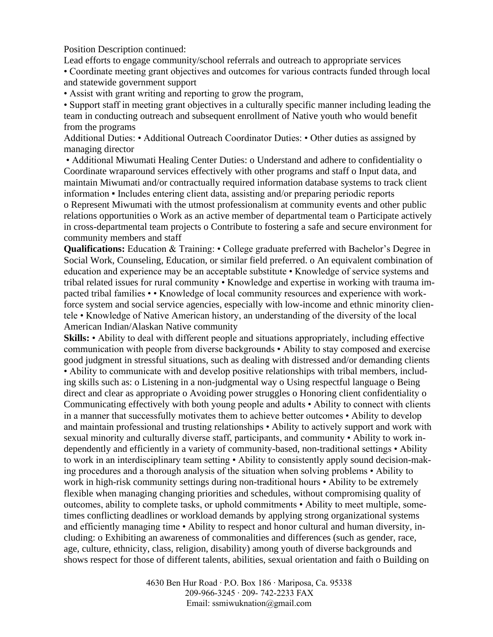Position Description continued:

Lead efforts to engage community/school referrals and outreach to appropriate services • Coordinate meeting grant objectives and outcomes for various contracts funded through local and statewide government support

• Assist with grant writing and reporting to grow the program,

• Support staff in meeting grant objectives in a culturally specific manner including leading the team in conducting outreach and subsequent enrollment of Native youth who would benefit from the programs

Additional Duties: • Additional Outreach Coordinator Duties: • Other duties as assigned by managing director

• Additional Miwumati Healing Center Duties: o Understand and adhere to confidentiality o Coordinate wraparound services effectively with other programs and staff o Input data, and maintain Miwumati and/or contractually required information database systems to track client information ▪ Includes entering client data, assisting and/or preparing periodic reports

o Represent Miwumati with the utmost professionalism at community events and other public relations opportunities o Work as an active member of departmental team o Participate actively in cross-departmental team projects o Contribute to fostering a safe and secure environment for community members and staff

**Qualifications:** Education & Training: • College graduate preferred with Bachelor's Degree in Social Work, Counseling, Education, or similar field preferred. o An equivalent combination of education and experience may be an acceptable substitute • Knowledge of service systems and tribal related issues for rural community • Knowledge and expertise in working with trauma impacted tribal families • • Knowledge of local community resources and experience with workforce system and social service agencies, especially with low-income and ethnic minority clientele • Knowledge of Native American history, an understanding of the diversity of the local American Indian/Alaskan Native community

**Skills:** • Ability to deal with different people and situations appropriately, including effective communication with people from diverse backgrounds • Ability to stay composed and exercise good judgment in stressful situations, such as dealing with distressed and/or demanding clients • Ability to communicate with and develop positive relationships with tribal members, including skills such as: o Listening in a non-judgmental way o Using respectful language o Being direct and clear as appropriate o Avoiding power struggles o Honoring client confidentiality o Communicating effectively with both young people and adults • Ability to connect with clients in a manner that successfully motivates them to achieve better outcomes • Ability to develop and maintain professional and trusting relationships • Ability to actively support and work with sexual minority and culturally diverse staff, participants, and community • Ability to work independently and efficiently in a variety of community-based, non-traditional settings • Ability to work in an interdisciplinary team setting • Ability to consistently apply sound decision-making procedures and a thorough analysis of the situation when solving problems • Ability to work in high-risk community settings during non-traditional hours • Ability to be extremely flexible when managing changing priorities and schedules, without compromising quality of outcomes, ability to complete tasks, or uphold commitments • Ability to meet multiple, sometimes conflicting deadlines or workload demands by applying strong organizational systems and efficiently managing time • Ability to respect and honor cultural and human diversity, including: o Exhibiting an awareness of commonalities and differences (such as gender, race, age, culture, ethnicity, class, religion, disability) among youth of diverse backgrounds and shows respect for those of different talents, abilities, sexual orientation and faith o Building on

> 4630 Ben Hur Road ∙ P.O. Box 186 ∙ Mariposa, Ca. 95338 209-966-3245 ∙ 209- 742-2233 FAX Email: ssmiwuknation@gmail.com